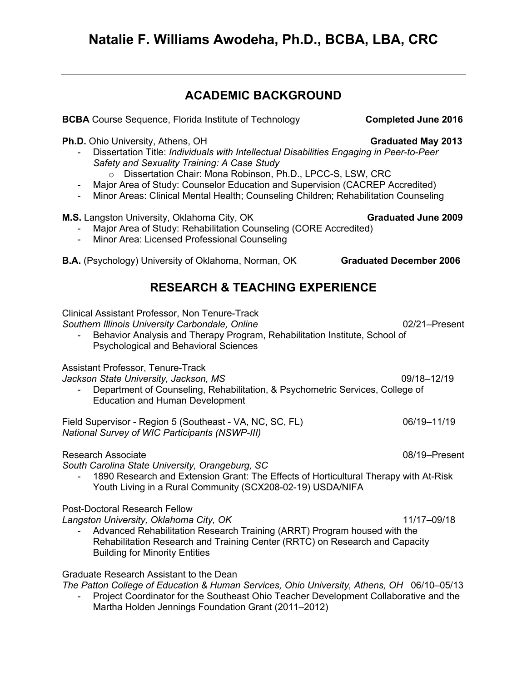# **ACADEMIC BACKGROUND**

**Ph.D.** Ohio University, Athens, OH **Graduated May 2013** 

- Dissertation Title: *Individuals with Intellectual Disabilities Engaging in Peer-to-Peer Safety and Sexuality Training: A Case Study*
	- o Dissertation Chair: Mona Robinson, Ph.D., LPCC-S, LSW, CRC
- Major Area of Study: Counselor Education and Supervision (CACREP Accredited)
- Minor Areas: Clinical Mental Health; Counseling Children; Rehabilitation Counseling

### **M.S.** Langston University, Oklahoma City, OK **Graduated June 2009**

- Major Area of Study: Rehabilitation Counseling (CORE Accredited)
- Minor Area: Licensed Professional Counseling
- **B.A.** (Psychology) University of Oklahoma, Norman, OK **Graduated December 2006**

# **RESEARCH & TEACHING EXPERIENCE**

Clinical Assistant Professor, Non Tenure-Track *Southern Illinois University Carbondale, Online* 02/21–Present Behavior Analysis and Therapy Program, Rehabilitation Institute, School of Psychological and Behavioral Sciences Assistant Professor, Tenure-Track *Jackson State University, Jackson, MS* 09/18–12/19 - Department of Counseling, Rehabilitation, & Psychometric Services, College of Education and Human Development Field Supervisor - Region 5 (Southeast - VA, NC, SC, FL)  $06/19-11/19$ *National Survey of WIC Participants (NSWP-III)* Research Associate **Development Controllers** Controllers and Controllers Controllers Controllers Controllers Controllers Controllers Controllers Controllers Controllers Controllers Controllers Controllers Controllers Contr *South Carolina State University, Orangeburg, SC* 1890 Research and Extension Grant: The Effects of Horticultural Therapy with At-Risk Youth Living in a Rural Community (SCX208-02-19) USDA/NIFA Post-Doctoral Research Fellow *Langston University, Oklahoma City, OK* 11/17–09/18 - Advanced Rehabilitation Research Training (ARRT) Program housed with the Rehabilitation Research and Training Center (RRTC) on Research and Capacity Building for Minority Entities

Graduate Research Assistant to the Dean

*The Patton College of Education & Human Services, Ohio University, Athens, OH* 06/10–05/13

Project Coordinator for the Southeast Ohio Teacher Development Collaborative and the Martha Holden Jennings Foundation Grant (2011–2012)

**BCBA** Course Sequence, Florida Institute of Technology **Completed June 2016**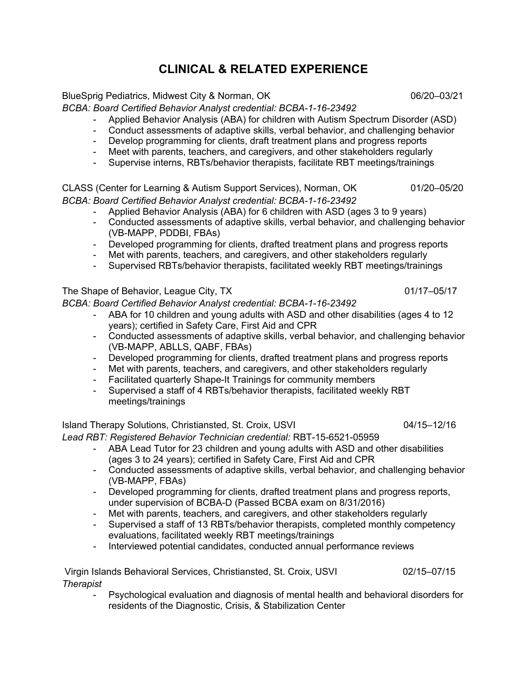# **CLINICAL & RELATED EXPERIENCE**

BlueSprig Pediatrics, Midwest City & Norman, OK 06/20–03/21

*BCBA: Board Certified Behavior Analyst credential: BCBA-1-16-23492*

- Applied Behavior Analysis (ABA) for children with Autism Spectrum Disorder (ASD)
- Conduct assessments of adaptive skills, verbal behavior, and challenging behavior
- Develop programming for clients, draft treatment plans and progress reports
- Meet with parents, teachers, and caregivers, and other stakeholders regularly
- Supervise interns, RBTs/behavior therapists, facilitate RBT meetings/trainings

CLASS (Center for Learning & Autism Support Services), Norman, OK 01/20–05/20 *BCBA: Board Certified Behavior Analyst credential: BCBA-1-16-23492*

- Applied Behavior Analysis (ABA) for 6 children with ASD (ages 3 to 9 years)
- Conducted assessments of adaptive skills, verbal behavior, and challenging behavior (VB-MAPP, PDDBI, FBAs)
- Developed programming for clients, drafted treatment plans and progress reports<br>- Met with parents, teachers, and caregivers, and other stakeholders regularly
- Met with parents, teachers, and caregivers, and other stakeholders regularly
- Supervised RBTs/behavior therapists, facilitated weekly RBT meetings/trainings

The Shape of Behavior, League City, TX 01/17–05/17

*BCBA: Board Certified Behavior Analyst credential: BCBA-1-16-23492*

- ABA for 10 children and young adults with ASD and other disabilities (ages 4 to 12 years); certified in Safety Care, First Aid and CPR
- Conducted assessments of adaptive skills, verbal behavior, and challenging behavior (VB-MAPP, ABLLS, QABF, FBAs)
- Developed programming for clients, drafted treatment plans and progress reports
- Met with parents, teachers, and caregivers, and other stakeholders regularly
- Facilitated quarterly Shape-It Trainings for community members
- Supervised a staff of 4 RBTs/behavior therapists, facilitated weekly RBT meetings/trainings

### Island Therapy Solutions, Christiansted, St. Croix, USVI 04/15-12/16

*Lead RBT: Registered Behavior Technician credential:* RBT-15-6521-05959

- ABA Lead Tutor for 23 children and young adults with ASD and other disabilities (ages 3 to 24 years); certified in Safety Care, First Aid and CPR
- Conducted assessments of adaptive skills, verbal behavior, and challenging behavior (VB-MAPP, FBAs)
- Developed programming for clients, drafted treatment plans and progress reports, under supervision of BCBA-D (Passed BCBA exam on 8/31/2016)
- Met with parents, teachers, and caregivers, and other stakeholders regularly
- Supervised a staff of 13 RBTs/behavior therapists, completed monthly competency evaluations, facilitated weekly RBT meetings/trainings
- Interviewed potential candidates, conducted annual performance reviews

Virgin Islands Behavioral Services, Christiansted, St. Croix, USVI 02/15–07/15 *Therapist*

Psychological evaluation and diagnosis of mental health and behavioral disorders for residents of the Diagnostic, Crisis, & Stabilization Center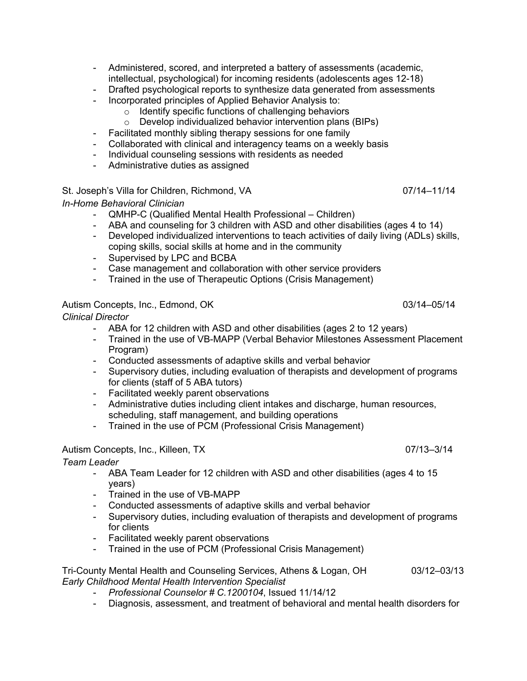- Administered, scored, and interpreted a battery of assessments (academic, intellectual, psychological) for incoming residents (adolescents ages 12-18)
- Drafted psychological reports to synthesize data generated from assessments
- Incorporated principles of Applied Behavior Analysis to:
	- o Identify specific functions of challenging behaviors
	- o Develop individualized behavior intervention plans (BIPs)
- Facilitated monthly sibling therapy sessions for one family
- Collaborated with clinical and interagency teams on a weekly basis
- Individual counseling sessions with residents as needed
- Administrative duties as assigned

#### St. Joseph's Villa for Children, Richmond, VA 07/14–11/14

*In-Home Behavioral Clinician*

- QMHP-C (Qualified Mental Health Professional Children)
- ABA and counseling for 3 children with ASD and other disabilities (ages 4 to 14)
- Developed individualized interventions to teach activities of daily living (ADLs) skills, coping skills, social skills at home and in the community
- Supervised by LPC and BCBA
- Case management and collaboration with other service providers
- Trained in the use of Therapeutic Options (Crisis Management)

#### Autism Concepts, Inc., Edmond, OK 03/14–05/14

*Clinical Director* 

- ABA for 12 children with ASD and other disabilities (ages 2 to 12 years)
- Trained in the use of VB-MAPP (Verbal Behavior Milestones Assessment Placement Program)
- Conducted assessments of adaptive skills and verbal behavior
- Supervisory duties, including evaluation of therapists and development of programs for clients (staff of 5 ABA tutors)
- Facilitated weekly parent observations
- Administrative duties including client intakes and discharge, human resources, scheduling, staff management, and building operations
- Trained in the use of PCM (Professional Crisis Management)

### Autism Concepts, Inc., Killeen, TX 07/13–3/14

*Team Leader* 

- ABA Team Leader for 12 children with ASD and other disabilities (ages 4 to 15 years)
- Trained in the use of VB-MAPP
- Conducted assessments of adaptive skills and verbal behavior
- Supervisory duties, including evaluation of therapists and development of programs for clients
- Facilitated weekly parent observations
- Trained in the use of PCM (Professional Crisis Management)

Tri-County Mental Health and Counseling Services, Athens & Logan, OH 03/12–03/13 *Early Childhood Mental Health Intervention Specialist*

- *Professional Counselor # C.1200104*, Issued 11/14/12
- Diagnosis, assessment, and treatment of behavioral and mental health disorders for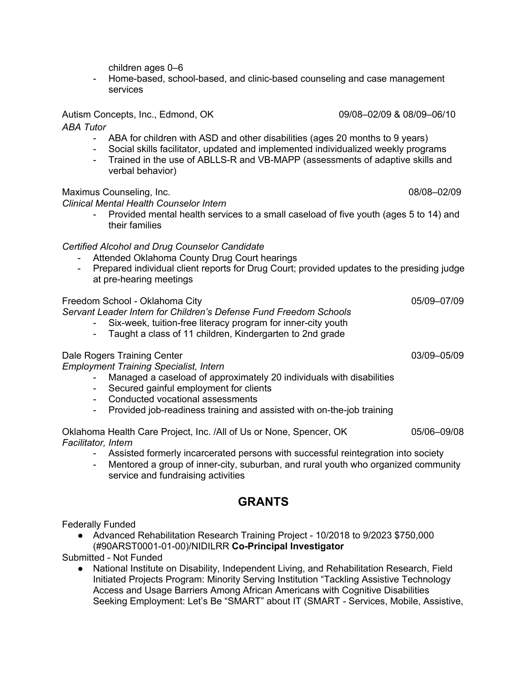children ages 0–6

- Home-based, school-based, and clinic-based counseling and case management services

### Autism Concepts, Inc., Edmond, OK 09/08*–*02/09 & 08/09*–*06/10

*ABA Tutor*

- ABA for children with ASD and other disabilities (ages 20 months to 9 years)
- Social skills facilitator, updated and implemented individualized weekly programs
- Trained in the use of ABLLS-R and VB-MAPP (assessments of adaptive skills and verbal behavior)

#### Maximus Counseling, Inc. 68/08-02/09

*Clinical Mental Health Counselor Intern*

- Provided mental health services to a small caseload of five youth (ages 5 to 14) and their families

#### *Certified Alcohol and Drug Counselor Candidate*

- Attended Oklahoma County Drug Court hearings
- Prepared individual client reports for Drug Court; provided updates to the presiding judge at pre-hearing meetings

### Freedom School - Oklahoma City **Department of the City** 05/09–07/09

*Servant Leader Intern for Children's Defense Fund Freedom Schools*

- Six-week, tuition-free literacy program for inner-city youth
- Taught a class of 11 children, Kindergarten to 2nd grade

#### Dale Rogers Training Center 03/09–05/09

*Employment Training Specialist, Intern*

- Managed a caseload of approximately 20 individuals with disabilities
- Secured gainful employment for clients
- Conducted vocational assessments
- Provided job-readiness training and assisted with on-the-job training

Oklahoma Health Care Project, Inc. /All of Us or None, Spencer, OK 05/06–09/08 *Facilitator, Intern*

- Assisted formerly incarcerated persons with successful reintegration into society
- Mentored a group of inner-city, suburban, and rural youth who organized community service and fundraising activities

### **GRANTS**

Federally Funded

● Advanced Rehabilitation Research Training Project - 10/2018 to 9/2023 \$750,000 (#90ARST0001-01-00)/NIDILRR **Co-Principal Investigator**

Submitted - Not Funded

● National Institute on Disability, Independent Living, and Rehabilitation Research, Field Initiated Projects Program: Minority Serving Institution "Tackling Assistive Technology Access and Usage Barriers Among African Americans with Cognitive Disabilities Seeking Employment: Let's Be "SMART" about IT (SMART - Services, Mobile, Assistive,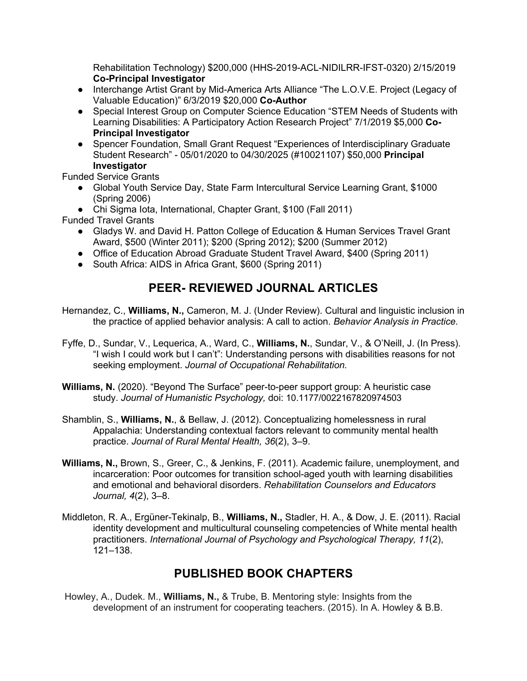Rehabilitation Technology) \$200,000 (HHS-2019-ACL-NIDILRR-IFST-0320) 2/15/2019 **Co-Principal Investigator**

- Interchange Artist Grant by Mid-America Arts Alliance "The L.O.V.E. Project (Legacy of Valuable Education)" 6/3/2019 \$20,000 **Co-Author**
- Special Interest Group on Computer Science Education "STEM Needs of Students with Learning Disabilities: A Participatory Action Research Project" 7/1/2019 \$5,000 **Co-Principal Investigator**
- Spencer Foundation, Small Grant Request "Experiences of Interdisciplinary Graduate Student Research" - 05/01/2020 to 04/30/2025 (#10021107) \$50,000 **Principal Investigator**

Funded Service Grants

● Global Youth Service Day, State Farm Intercultural Service Learning Grant, \$1000 (Spring 2006)

● Chi Sigma Iota, International, Chapter Grant, \$100 (Fall 2011)

Funded Travel Grants

- Gladys W. and David H. Patton College of Education & Human Services Travel Grant Award, \$500 (Winter 2011); \$200 (Spring 2012); \$200 (Summer 2012)
- Office of Education Abroad Graduate Student Travel Award, \$400 (Spring 2011)
- South Africa: AIDS in Africa Grant, \$600 (Spring 2011)

# **PEER- REVIEWED JOURNAL ARTICLES**

- Hernandez, C., **Williams, N.,** Cameron, M. J. (Under Review). Cultural and linguistic inclusion in the practice of applied behavior analysis: A call to action. *Behavior Analysis in Practice.*
- Fyffe, D., Sundar, V., Lequerica, A., Ward, C., **Williams, N.**, Sundar, V., & O'Neill, J. (In Press). "I wish I could work but I can't": Understanding persons with disabilities reasons for not seeking employment. *Journal of Occupational Rehabilitation.*
- **Williams, N.** (2020). "Beyond The Surface" peer-to-peer support group: A heuristic case study. *Journal of Humanistic Psychology,* doi: 10.1177/0022167820974503
- Shamblin, S., **Williams, N.**, & Bellaw, J. (2012). Conceptualizing homelessness in rural Appalachia: Understanding contextual factors relevant to community mental health practice. *Journal of Rural Mental Health, 36*(2), 3–9.
- **Williams, N.,** Brown, S., Greer, C., & Jenkins, F. (2011). Academic failure, unemployment, and incarceration: Poor outcomes for transition school-aged youth with learning disabilities and emotional and behavioral disorders. *Rehabilitation Counselors and Educators Journal, 4*(2), 3–8.
- Middleton, R. A., Ergüner-Tekinalp, B., **Williams, N.,** Stadler, H. A., & Dow, J. E. (2011). Racial identity development and multicultural counseling competencies of White mental health practitioners. *International Journal of Psychology and Psychological Therapy, 11*(2), 121–138.

# **PUBLISHED BOOK CHAPTERS**

Howley, A., Dudek. M., **Williams, N.,** & Trube, B. Mentoring style: Insights from the development of an instrument for cooperating teachers. (2015). In A. Howley & B.B.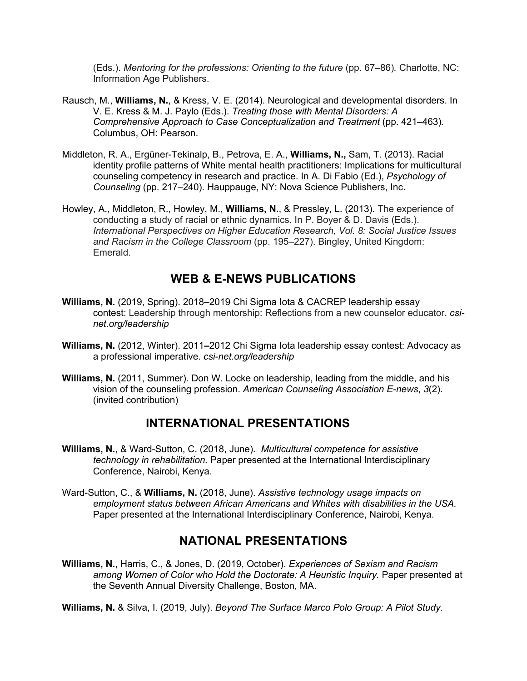(Eds.). *Mentoring for the professions: Orienting to the future* (pp. 67–86)*.* Charlotte, NC: Information Age Publishers.

- Rausch, M., **Williams, N.**, & Kress, V. E. (2014). Neurological and developmental disorders. In V. E. Kress & M. J. Paylo (Eds.). *Treating those with Mental Disorders: A Comprehensive Approach to Case Conceptualization and Treatment (pp. 421–463).* Columbus, OH: Pearson.
- Middleton, R. A., Ergüner-Tekinalp, B., Petrova, E. A., **Williams, N.,** Sam, T. (2013). Racial identity profile patterns of White mental health practitioners: Implications for multicultural counseling competency in research and practice. In A. Di Fabio (Ed.), *Psychology of Counseling* (pp. 217–240). Hauppauge, NY: Nova Science Publishers, Inc.
- Howley, A., Middleton, R., Howley, M., **Williams, N.**, & Pressley, L. (2013). The experience of conducting a study of racial or ethnic dynamics. In P. Boyer & D. Davis (Eds.). *International Perspectives on Higher Education Research, Vol. 8: Social Justice Issues and Racism in the College Classroom* (pp. 195–227). Bingley, United Kingdom: Emerald.

### **WEB & E-NEWS PUBLICATIONS**

- **Williams, N.** (2019, Spring). 2018–2019 Chi Sigma Iota & CACREP leadership essay contest: Leadership through mentorship: Reflections from a new counselor educator. *csinet.org/leadership*
- **Williams, N.** (2012, Winter). 2011*–*2012 Chi Sigma Iota leadership essay contest: Advocacy as a professional imperative. *csi-net.org/leadership*
- **Williams, N.** (2011, Summer). Don W. Locke on leadership, leading from the middle, and his vision of the counseling profession. *American Counseling Association E-news*, *3*(2). (invited contribution)

### **INTERNATIONAL PRESENTATIONS**

- **Williams, N.**, & Ward-Sutton, C. (2018, June). *Multicultural competence for assistive technology in rehabilitation.* Paper presented at the International Interdisciplinary Conference, Nairobi, Kenya.
- Ward-Sutton, C., & **Williams, N.** (2018, June). *Assistive technology usage impacts on employment status between African Americans and Whites with disabilities in the USA.*  Paper presented at the International Interdisciplinary Conference, Nairobi, Kenya.

### **NATIONAL PRESENTATIONS**

**Williams, N.,** Harris, C., & Jones, D. (2019, October). *Experiences of Sexism and Racism*  among Women of Color who Hold the Doctorate: A Heuristic Inquiry. Paper presented at the Seventh Annual Diversity Challenge, Boston, MA.

**Williams, N.** & Silva, I. (2019, July). *Beyond The Surface Marco Polo Group: A Pilot Study.*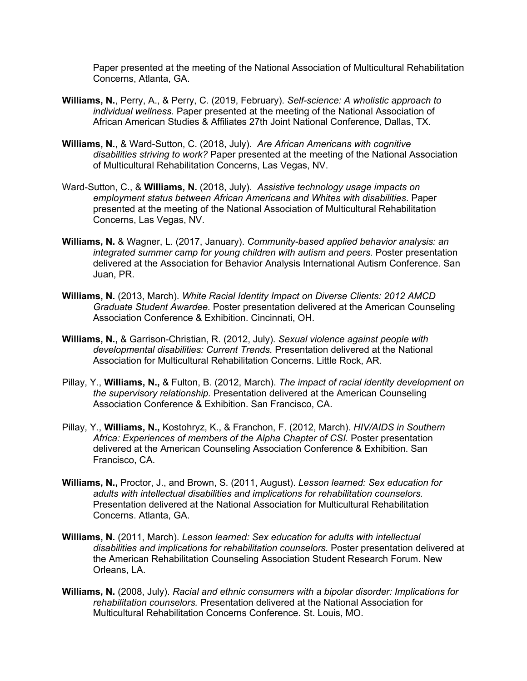Paper presented at the meeting of the National Association of Multicultural Rehabilitation Concerns, Atlanta, GA.

- **Williams, N.**, Perry, A., & Perry, C. (2019, February). *Self-science: A wholistic approach to individual wellness.* Paper presented at the meeting of the National Association of African American Studies & Affiliates 27th Joint National Conference, Dallas, TX.
- **Williams, N.**, & Ward-Sutton, C. (2018, July). *Are African Americans with cognitive disabilities striving to work?* Paper presented at the meeting of the National Association of Multicultural Rehabilitation Concerns, Las Vegas, NV.
- Ward-Sutton, C., & **Williams, N.** (2018, July). *Assistive technology usage impacts on employment status between African Americans and Whites with disabilities*. Paper presented at the meeting of the National Association of Multicultural Rehabilitation Concerns, Las Vegas, NV.
- **Williams, N.** & Wagner, L. (2017, January). *Community-based applied behavior analysis: an integrated summer camp for young children with autism and peers.* Poster presentation delivered at the Association for Behavior Analysis International Autism Conference. San Juan, PR.
- **Williams, N.** (2013, March). *White Racial Identity Impact on Diverse Clients: 2012 AMCD Graduate Student Awardee.* Poster presentation delivered at the American Counseling Association Conference & Exhibition. Cincinnati, OH.
- **Williams, N.,** & Garrison-Christian, R. (2012, July). *Sexual violence against people with developmental disabilities: Current Trends.* Presentation delivered at the National Association for Multicultural Rehabilitation Concerns. Little Rock, AR.
- Pillay, Y., **Williams, N.,** & Fulton, B. (2012, March). *The impact of racial identity development on the supervisory relationship.* Presentation delivered at the American Counseling Association Conference & Exhibition. San Francisco, CA.
- Pillay, Y., **Williams, N.,** Kostohryz, K., & Franchon, F. (2012, March). *HIV/AIDS in Southern Africa: Experiences of members of the Alpha Chapter of CSI.* Poster presentation delivered at the American Counseling Association Conference & Exhibition. San Francisco, CA.
- **Williams, N.,** Proctor, J., and Brown, S. (2011, August). *Lesson learned: Sex education for adults with intellectual disabilities and implications for rehabilitation counselors.*  Presentation delivered at the National Association for Multicultural Rehabilitation Concerns. Atlanta, GA.
- **Williams, N.** (2011, March). *Lesson learned: Sex education for adults with intellectual disabilities and implications for rehabilitation counselors.* Poster presentation delivered at the American Rehabilitation Counseling Association Student Research Forum. New Orleans, LA.
- **Williams, N.** (2008, July). *Racial and ethnic consumers with a bipolar disorder: Implications for rehabilitation counselors.* Presentation delivered at the National Association for Multicultural Rehabilitation Concerns Conference. St. Louis, MO.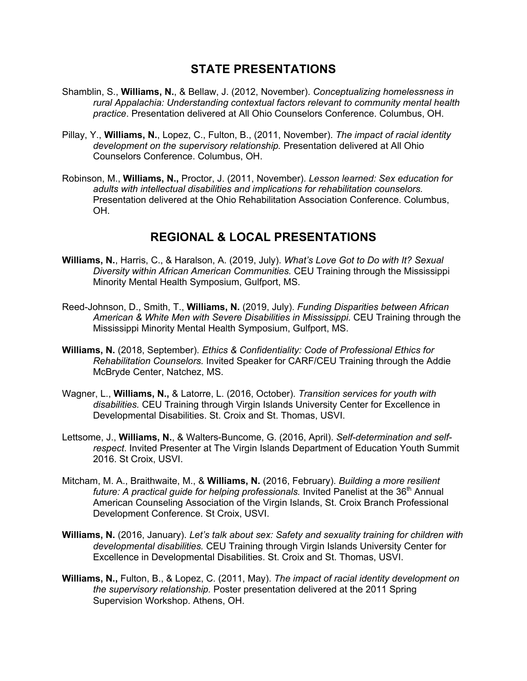### **STATE PRESENTATIONS**

- Shamblin, S., **Williams, N.**, & Bellaw, J. (2012, November). *Conceptualizing homelessness in rural Appalachia: Understanding contextual factors relevant to community mental health practice*. Presentation delivered at All Ohio Counselors Conference. Columbus, OH.
- Pillay, Y., **Williams, N.**, Lopez, C., Fulton, B., (2011, November). *The impact of racial identity development on the supervisory relationship.* Presentation delivered at All Ohio Counselors Conference. Columbus, OH.
- Robinson, M., **Williams, N.,** Proctor, J. (2011, November). *Lesson learned: Sex education for adults with intellectual disabilities and implications for rehabilitation counselors.*  Presentation delivered at the Ohio Rehabilitation Association Conference. Columbus, OH.

## **REGIONAL & LOCAL PRESENTATIONS**

- **Williams, N.**, Harris, C., & Haralson, A. (2019, July). *What's Love Got to Do with It? Sexual Diversity within African American Communities.* CEU Training through the Mississippi Minority Mental Health Symposium, Gulfport, MS.
- Reed-Johnson, D., Smith, T., **Williams, N.** (2019, July). *Funding Disparities between African American & White Men with Severe Disabilities in Mississippi.* CEU Training through the Mississippi Minority Mental Health Symposium, Gulfport, MS.
- **Williams, N.** (2018, September). *Ethics & Confidentiality: Code of Professional Ethics for Rehabilitation Counselors.* Invited Speaker for CARF/CEU Training through the Addie McBryde Center, Natchez, MS.
- Wagner, L., **Williams, N.,** & Latorre, L. (2016, October). *Transition services for youth with disabilities.* CEU Training through Virgin Islands University Center for Excellence in Developmental Disabilities. St. Croix and St. Thomas, USVI.
- Lettsome, J., **Williams, N.**, & Walters-Buncome, G. (2016, April). *Self-determination and selfrespect*. Invited Presenter at The Virgin Islands Department of Education Youth Summit 2016. St Croix, USVI.
- Mitcham, M. A., Braithwaite, M., & **Williams, N.** (2016, February). *Building a more resilient future: A practical guide for helping professionals.* Invited Panelist at the 36<sup>th</sup> Annual American Counseling Association of the Virgin Islands, St. Croix Branch Professional Development Conference. St Croix, USVI.
- **Williams, N.** (2016, January). *Let's talk about sex: Safety and sexuality training for children with developmental disabilities.* CEU Training through Virgin Islands University Center for Excellence in Developmental Disabilities. St. Croix and St. Thomas, USVI.
- **Williams, N.,** Fulton, B., & Lopez, C. (2011, May). *The impact of racial identity development on the supervisory relationship.* Poster presentation delivered at the 2011 Spring Supervision Workshop. Athens, OH.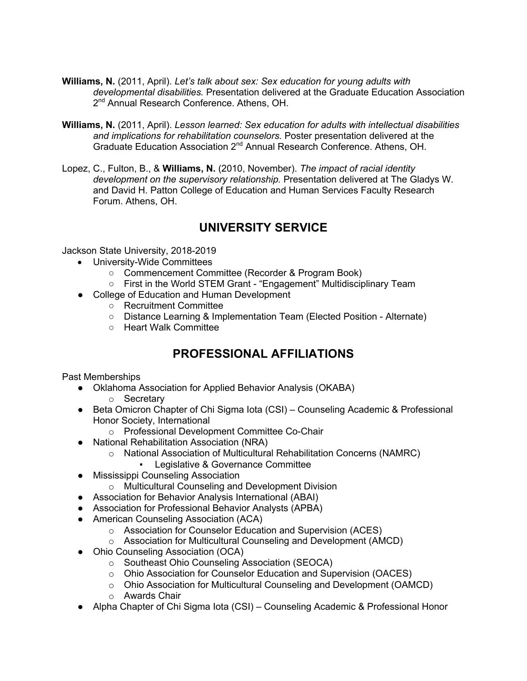- **Williams, N.** (2011, April). *Let's talk about sex: Sex education for young adults with developmental disabilities.* Presentation delivered at the Graduate Education Association 2<sup>nd</sup> Annual Research Conference. Athens, OH.
- **Williams, N.** (2011, April). *Lesson learned: Sex education for adults with intellectual disabilities and implications for rehabilitation counselors.* Poster presentation delivered at the Graduate Education Association 2<sup>nd</sup> Annual Research Conference. Athens, OH.
- Lopez, C., Fulton, B., & **Williams, N.** (2010, November). *The impact of racial identity development on the supervisory relationship.* Presentation delivered at The Gladys W. and David H. Patton College of Education and Human Services Faculty Research Forum. Athens, OH.

## **UNIVERSITY SERVICE**

Jackson State University, 2018-2019

- University-Wide Committees
	- Commencement Committee (Recorder & Program Book)
	- First in the World STEM Grant "Engagement" Multidisciplinary Team
- College of Education and Human Development
	- Recruitment Committee
	- Distance Learning & Implementation Team (Elected Position Alternate)
	- Heart Walk Committee

## **PROFESSIONAL AFFILIATIONS**

Past Memberships

- Oklahoma Association for Applied Behavior Analysis (OKABA)
	- o Secretary
- Beta Omicron Chapter of Chi Sigma lota (CSI) Counseling Academic & Professional Honor Society, International
	- o Professional Development Committee Co-Chair
- National Rehabilitation Association (NRA)
	- o National Association of Multicultural Rehabilitation Concerns (NAMRC)
		- Legislative & Governance Committee
- Mississippi Counseling Association
	- o Multicultural Counseling and Development Division
- Association for Behavior Analysis International (ABAI)
- Association for Professional Behavior Analysts (APBA)
- American Counseling Association (ACA)
	- o Association for Counselor Education and Supervision (ACES)
	- o Association for Multicultural Counseling and Development (AMCD)
- Ohio Counseling Association (OCA)
	- o Southeast Ohio Counseling Association (SEOCA)
	- o Ohio Association for Counselor Education and Supervision (OACES)
	- o Ohio Association for Multicultural Counseling and Development (OAMCD)
	- o Awards Chair
- Alpha Chapter of Chi Sigma Iota (CSI) Counseling Academic & Professional Honor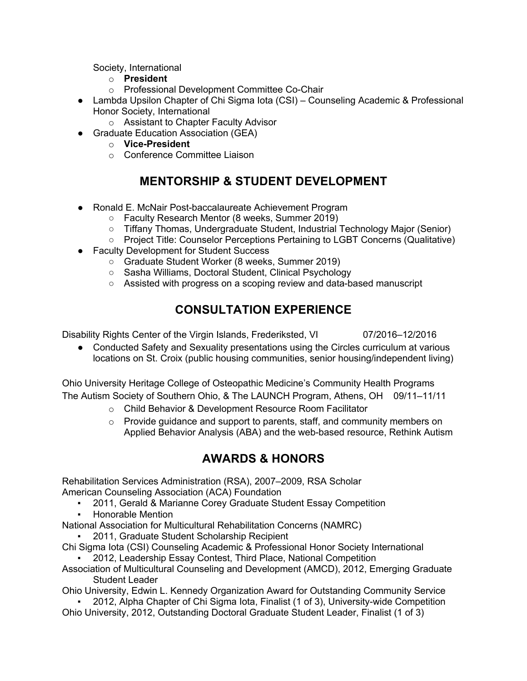Society, International

- o **President**
- o Professional Development Committee Co-Chair
- Lambda Upsilon Chapter of Chi Sigma Iota (CSI) Counseling Academic & Professional Honor Society, International
	- o Assistant to Chapter Faculty Advisor
- Graduate Education Association (GEA)
	- o **Vice-President**
	- o Conference Committee Liaison

## **MENTORSHIP & STUDENT DEVELOPMENT**

- Ronald E. McNair Post-baccalaureate Achievement Program
	- Faculty Research Mentor (8 weeks, Summer 2019)
	- Tiffany Thomas, Undergraduate Student, Industrial Technology Major (Senior)
	- Project Title: Counselor Perceptions Pertaining to LGBT Concerns (Qualitative)
- Faculty Development for Student Success
	- Graduate Student Worker (8 weeks, Summer 2019)
	- Sasha Williams, Doctoral Student, Clinical Psychology
	- Assisted with progress on a scoping review and data-based manuscript

# **CONSULTATION EXPERIENCE**

Disability Rights Center of the Virgin Islands, Frederiksted, VI 07/2016*–*12/2016

• Conducted Safety and Sexuality presentations using the Circles curriculum at various locations on St. Croix (public housing communities, senior housing/independent living)

Ohio University Heritage College of Osteopathic Medicine's Community Health Programs The Autism Society of Southern Ohio, & The LAUNCH Program, Athens, OH 09/11*–*11/11

- o Child Behavior & Development Resource Room Facilitator
- o Provide guidance and support to parents, staff, and community members on Applied Behavior Analysis (ABA) and the web-based resource, Rethink Autism

# **AWARDS & HONORS**

Rehabilitation Services Administration (RSA), 2007–2009, RSA Scholar American Counseling Association (ACA) Foundation

- 2011, Gerald & Marianne Corey Graduate Student Essay Competition
- Honorable Mention

National Association for Multicultural Rehabilitation Concerns (NAMRC)

- 2011, Graduate Student Scholarship Recipient
- Chi Sigma Iota (CSI) Counseling Academic & Professional Honor Society International
	- 2012, Leadership Essay Contest, Third Place, National Competition
- Association of Multicultural Counseling and Development (AMCD), 2012, Emerging Graduate Student Leader

Ohio University, Edwin L. Kennedy Organization Award for Outstanding Community Service

2012, Alpha Chapter of Chi Sigma Iota, Finalist (1 of 3), University-wide Competition Ohio University, 2012, Outstanding Doctoral Graduate Student Leader, Finalist (1 of 3)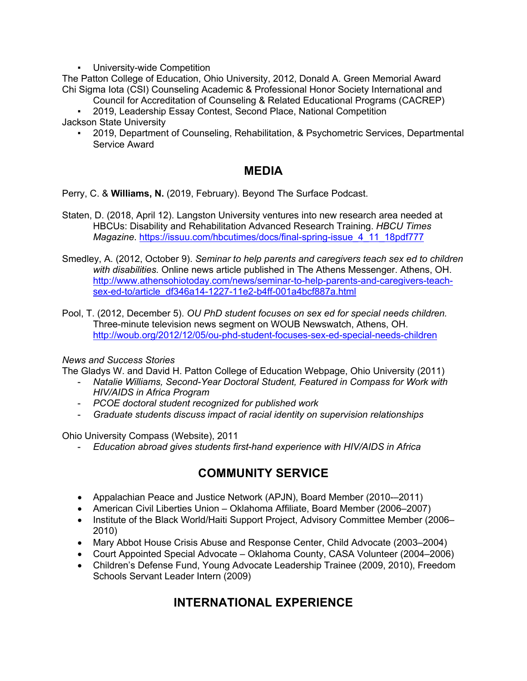University-wide Competition

The Patton College of Education, Ohio University, 2012, Donald A. Green Memorial Award Chi Sigma Iota (CSI) Counseling Academic & Professional Honor Society International and

- Council for Accreditation of Counseling & Related Educational Programs (CACREP)
- 2019, Leadership Essay Contest, Second Place, National Competition

Jackson State University

▪ 2019, Department of Counseling, Rehabilitation, & Psychometric Services, Departmental Service Award

### **MEDIA**

Perry, C. & **Williams, N.** (2019, February). Beyond The Surface Podcast.

- Staten, D. (2018, April 12). Langston University ventures into new research area needed at HBCUs: Disability and Rehabilitation Advanced Research Training. *HBCU Times Magazine*. https://issuu.com/hbcutimes/docs/final-spring-issue\_4\_11\_18pdf777
- Smedley, A. (2012, October 9). *Seminar to help parents and caregivers teach sex ed to children with disabilities.* Online news article published in The Athens Messenger. Athens, OH. http://www.athensohiotoday.com/news/seminar-to-help-parents-and-caregivers-teachsex-ed-to/article\_df346a14-1227-11e2-b4ff-001a4bcf887a.html
- Pool, T. (2012, December 5). *OU PhD student focuses on sex ed for special needs children.* Three-minute television news segment on WOUB Newswatch, Athens, OH. http://woub.org/2012/12/05/ou-phd-student-focuses-sex-ed-special-needs-children

#### *News and Success Stories*

The Gladys W. and David H. Patton College of Education Webpage, Ohio University (2011)

- *Natalie Williams, Second-Year Doctoral Student, Featured in Compass for Work with HIV/AIDS in Africa Program*
- *PCOE doctoral student recognized for published work*
- *Graduate students discuss impact of racial identity on supervision relationships*

Ohio University Compass (Website), 2011

- *Education abroad gives students first-hand experience with HIV/AIDS in Africa*

## **COMMUNITY SERVICE**

- Appalachian Peace and Justice Network (APJN), Board Member (2010-–2011)
- American Civil Liberties Union Oklahoma Affiliate, Board Member (2006–2007)
- Institute of the Black World/Haiti Support Project, Advisory Committee Member (2006– 2010)
- Mary Abbot House Crisis Abuse and Response Center, Child Advocate (2003–2004)
- Court Appointed Special Advocate Oklahoma County, CASA Volunteer (2004–2006)
- Children's Defense Fund, Young Advocate Leadership Trainee (2009, 2010), Freedom Schools Servant Leader Intern (2009)

## **INTERNATIONAL EXPERIENCE**